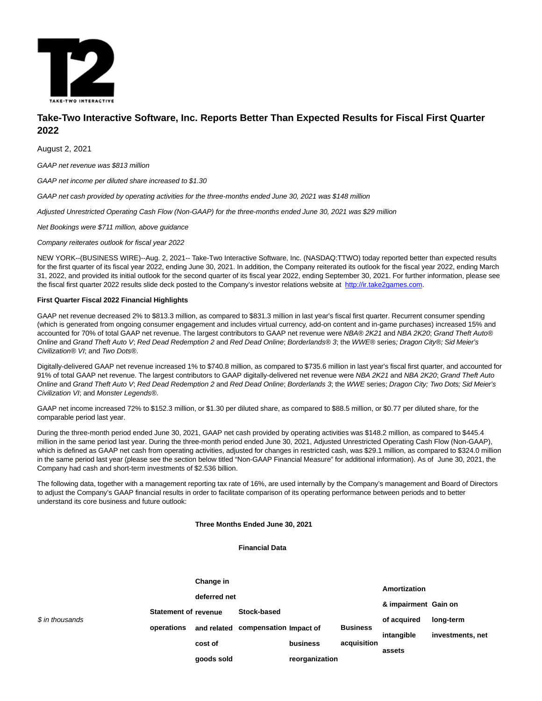

# **Take-Two Interactive Software, Inc. Reports Better Than Expected Results for Fiscal First Quarter 2022**

August 2, 2021

GAAP net revenue was \$813 million

GAAP net income per diluted share increased to \$1.30

GAAP net cash provided by operating activities for the three-months ended June 30, 2021 was \$148 million

Adjusted Unrestricted Operating Cash Flow (Non-GAAP) for the three-months ended June 30, 2021 was \$29 million

Net Bookings were \$711 million, above guidance

Company reiterates outlook for fiscal year 2022

NEW YORK--(BUSINESS WIRE)--Aug. 2, 2021-- Take-Two Interactive Software, Inc. (NASDAQ:TTWO) today reported better than expected results for the first quarter of its fiscal year 2022, ending June 30, 2021. In addition, the Company reiterated its outlook for the fiscal year 2022, ending March 31, 2022, and provided its initial outlook for the second quarter of its fiscal year 2022, ending September 30, 2021. For further information, please see the fiscal first quarter 2022 results slide deck posted to the Company's investor relations website at [http://ir.take2games.com.](https://cts.businesswire.com/ct/CT?id=smartlink&url=http%3A%2F%2Fir.take2games.com&esheet=52469752&newsitemid=20210802005541&lan=en-US&anchor=http%3A%2F%2Fir.take2games.com&index=1&md5=8c708521520942830e4afc334917044c)

## **First Quarter Fiscal 2022 Financial Highlights**

GAAP net revenue decreased 2% to \$813.3 million, as compared to \$831.3 million in last year's fiscal first quarter. Recurrent consumer spending (which is generated from ongoing consumer engagement and includes virtual currency, add-on content and in-game purchases) increased 15% and accounted for 70% of total GAAP net revenue. The largest contributors to GAAP net revenue were NBA® 2K21 and NBA 2K20; Grand Theft Auto® Online and Grand Theft Auto V; Red Dead Redemption 2 and Red Dead Online; Borderlands® 3; the WWE® series; Dragon City®; Sid Meier's Civilization® VI; and Two Dots®.

Digitally-delivered GAAP net revenue increased 1% to \$740.8 million, as compared to \$735.6 million in last year's fiscal first quarter, and accounted for 91% of total GAAP net revenue. The largest contributors to GAAP digitally-delivered net revenue were NBA 2K21 and NBA 2K20; Grand Theft Auto Online and Grand Theft Auto V; Red Dead Redemption 2 and Red Dead Online; Borderlands 3; the WWE series; Dragon City; Two Dots; Sid Meier's Civilization VI; and Monster Legends®.

GAAP net income increased 72% to \$152.3 million, or \$1.30 per diluted share, as compared to \$88.5 million, or \$0.77 per diluted share, for the comparable period last year.

During the three-month period ended June 30, 2021, GAAP net cash provided by operating activities was \$148.2 million, as compared to \$445.4 million in the same period last year. During the three-month period ended June 30, 2021, Adjusted Unrestricted Operating Cash Flow (Non-GAAP), which is defined as GAAP net cash from operating activities, adjusted for changes in restricted cash, was \$29.1 million, as compared to \$324.0 million in the same period last year (please see the section below titled "Non-GAAP Financial Measure" for additional information). As of June 30, 2021, the Company had cash and short-term investments of \$2.536 billion.

The following data, together with a management reporting tax rate of 16%, are used internally by the Company's management and Board of Directors to adjust the Company's GAAP financial results in order to facilitate comparison of its operating performance between periods and to better understand its core business and future outlook:

## **Three Months Ended June 30, 2021**

**Financial Data**

|                 |                                           | Change in    |                                    |                |                 | Amortization         |                  |  |
|-----------------|-------------------------------------------|--------------|------------------------------------|----------------|-----------------|----------------------|------------------|--|
|                 |                                           | deferred net |                                    |                |                 |                      |                  |  |
|                 | <b>Statement of revenue</b><br>operations |              | Stock-based                        |                |                 | & impairment Gain on |                  |  |
| \$ in thousands |                                           |              | and related compensation Impact of |                | <b>Business</b> | of acquired          | long-term        |  |
|                 |                                           |              |                                    |                |                 | intangible           | investments, net |  |
|                 |                                           | cost of      |                                    | business       | acquisition     | assets               |                  |  |
|                 |                                           | goods sold   |                                    | reorganization |                 |                      |                  |  |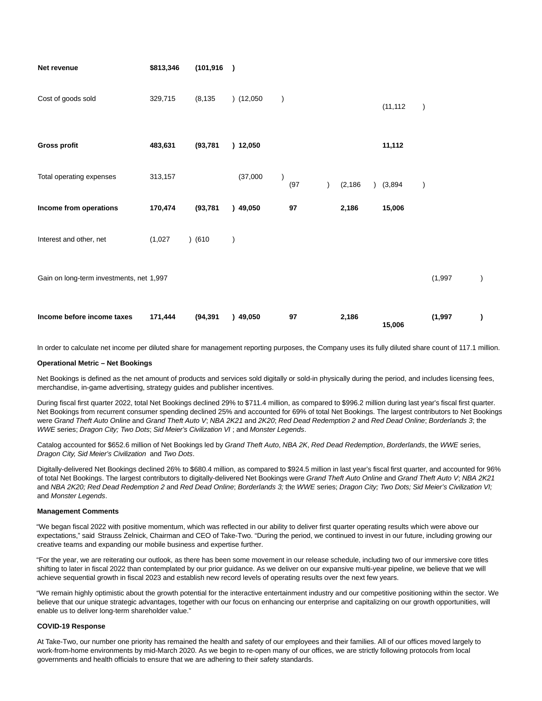| Net revenue                              | \$813,346 | (101, 916) | $\lambda$     |           |          |             |                  |           |
|------------------------------------------|-----------|------------|---------------|-----------|----------|-------------|------------------|-----------|
| Cost of goods sold                       | 329,715   | (8, 135)   | (12,050)      | $\lambda$ |          | (11, 112)   | $\left( \right)$ |           |
| <b>Gross profit</b>                      | 483,631   | (93, 781)  | ) 12,050      |           |          | 11,112      |                  |           |
| Total operating expenses                 | 313,157   |            | (37,000)      | (97)      | (2, 186) | $)$ (3,894) |                  |           |
| Income from operations                   | 170,474   | (93, 781)  | )49,050       | $97\,$    | 2,186    | 15,006      |                  |           |
| Interest and other, net                  | (1,027)   | ) (610)    | $\mathcal{E}$ |           |          |             |                  |           |
| Gain on long-term investments, net 1,997 |           |            |               |           |          |             | (1,997)          |           |
| Income before income taxes               | 171,444   | (94, 391)  | )49,050       | 97        | 2,186    | 15,006      | (1,997)          | $\lambda$ |

In order to calculate net income per diluted share for management reporting purposes, the Company uses its fully diluted share count of 117.1 million.

### **Operational Metric – Net Bookings**

Net Bookings is defined as the net amount of products and services sold digitally or sold-in physically during the period, and includes licensing fees, merchandise, in-game advertising, strategy guides and publisher incentives.

During fiscal first quarter 2022, total Net Bookings declined 29% to \$711.4 million, as compared to \$996.2 million during last year's fiscal first quarter. Net Bookings from recurrent consumer spending declined 25% and accounted for 69% of total Net Bookings. The largest contributors to Net Bookings were Grand Theft Auto Online and Grand Theft Auto V; NBA 2K21 and 2K20; Red Dead Redemption 2 and Red Dead Online; Borderlands 3; the WWE series; Dragon City; Two Dots; Sid Meier's Civilization VI ; and Monster Legends.

Catalog accounted for \$652.6 million of Net Bookings led by Grand Theft Auto, NBA 2K, Red Dead Redemption, Borderlands, the WWE series, Dragon City, Sid Meier's Civilization and Two Dots.

Digitally-delivered Net Bookings declined 26% to \$680.4 million, as compared to \$924.5 million in last year's fiscal first quarter, and accounted for 96% of total Net Bookings. The largest contributors to digitally-delivered Net Bookings were Grand Theft Auto Online and Grand Theft Auto V; NBA 2K21 and NBA 2K20; Red Dead Redemption 2 and Red Dead Online; Borderlands 3; the WWE series; Dragon City; Two Dots; Sid Meier's Civilization VI; and Monster Legends.

### **Management Comments**

"We began fiscal 2022 with positive momentum, which was reflected in our ability to deliver first quarter operating results which were above our expectations," said Strauss Zelnick, Chairman and CEO of Take-Two. "During the period, we continued to invest in our future, including growing our creative teams and expanding our mobile business and expertise further.

"For the year, we are reiterating our outlook, as there has been some movement in our release schedule, including two of our immersive core titles shifting to later in fiscal 2022 than contemplated by our prior guidance. As we deliver on our expansive multi-year pipeline, we believe that we will achieve sequential growth in fiscal 2023 and establish new record levels of operating results over the next few years.

"We remain highly optimistic about the growth potential for the interactive entertainment industry and our competitive positioning within the sector. We believe that our unique strategic advantages, together with our focus on enhancing our enterprise and capitalizing on our growth opportunities, will enable us to deliver long-term shareholder value."

### **COVID-19 Response**

At Take-Two, our number one priority has remained the health and safety of our employees and their families. All of our offices moved largely to work-from-home environments by mid-March 2020. As we begin to re-open many of our offices, we are strictly following protocols from local governments and health officials to ensure that we are adhering to their safety standards.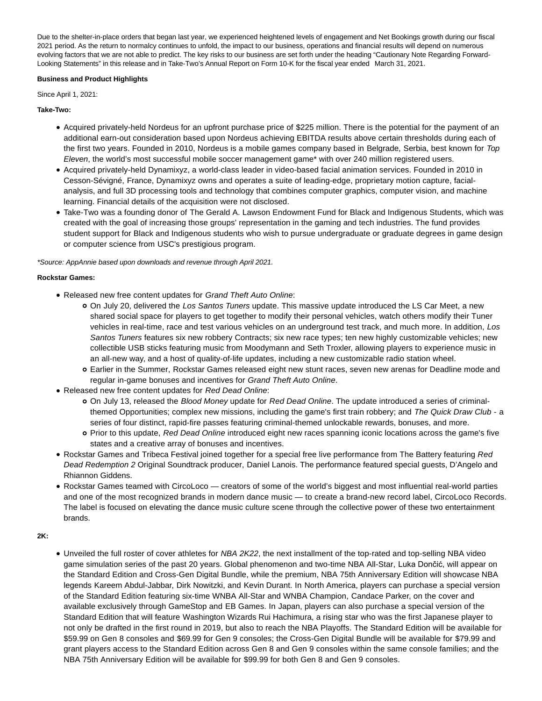Due to the shelter-in-place orders that began last year, we experienced heightened levels of engagement and Net Bookings growth during our fiscal 2021 period. As the return to normalcy continues to unfold, the impact to our business, operations and financial results will depend on numerous evolving factors that we are not able to predict. The key risks to our business are set forth under the heading "Cautionary Note Regarding Forward-Looking Statements" in this release and in Take-Two's Annual Report on Form 10-K for the fiscal year ended March 31, 2021.

## **Business and Product Highlights**

Since April 1, 2021:

## **Take-Two:**

- Acquired privately-held Nordeus for an upfront purchase price of \$225 million. There is the potential for the payment of an additional earn-out consideration based upon Nordeus achieving EBITDA results above certain thresholds during each of the first two years. Founded in 2010, Nordeus is a mobile games company based in Belgrade, Serbia, best known for Top Eleven, the world's most successful mobile soccer management game\* with over 240 million registered users.
- Acquired privately-held Dynamixyz, a world-class leader in video-based facial animation services. Founded in 2010 in Cesson-Sévigné, France, Dynamixyz owns and operates a suite of leading-edge, proprietary motion capture, facialanalysis, and full 3D processing tools and technology that combines computer graphics, computer vision, and machine learning. Financial details of the acquisition were not disclosed.
- Take-Two was a founding donor of The Gerald A. Lawson Endowment Fund for Black and Indigenous Students, which was created with the goal of increasing those groups' representation in the gaming and tech industries. The fund provides student support for Black and Indigenous students who wish to pursue undergraduate or graduate degrees in game design or computer science from USC's prestigious program.

\*Source: AppAnnie based upon downloads and revenue through April 2021.

## **Rockstar Games:**

- Released new free content updates for Grand Theft Auto Online:
	- On July 20, delivered the Los Santos Tuners update. This massive update introduced the LS Car Meet, a new shared social space for players to get together to modify their personal vehicles, watch others modify their Tuner vehicles in real-time, race and test various vehicles on an underground test track, and much more. In addition, Los Santos Tuners features six new robbery Contracts; six new race types; ten new highly customizable vehicles; new collectible USB sticks featuring music from Moodymann and Seth Troxler, allowing players to experience music in an all-new way, and a host of quality-of-life updates, including a new customizable radio station wheel.
	- Earlier in the Summer, Rockstar Games released eight new stunt races, seven new arenas for Deadline mode and regular in-game bonuses and incentives for Grand Theft Auto Online.
- Released new free content updates for Red Dead Online:
	- On July 13, released the Blood Money update for Red Dead Online. The update introduced a series of criminalthemed Opportunities; complex new missions, including the game's first train robbery; and The Quick Draw Club - a series of four distinct, rapid-fire passes featuring criminal-themed unlockable rewards, bonuses, and more.
	- Prior to this update, Red Dead Online introduced eight new races spanning iconic locations across the game's five states and a creative array of bonuses and incentives.
- Rockstar Games and Tribeca Festival joined together for a special free live performance from The Battery featuring Red Dead Redemption 2 Original Soundtrack producer, Daniel Lanois. The performance featured special guests, D'Angelo and Rhiannon Giddens.
- Rockstar Games teamed with CircoLoco creators of some of the world's biggest and most influential real-world parties and one of the most recognized brands in modern dance music — to create a brand-new record label, CircoLoco Records. The label is focused on elevating the dance music culture scene through the collective power of these two entertainment brands.
- **2K:**
- Unveiled the full roster of cover athletes for NBA 2K22, the next installment of the top-rated and top-selling NBA video game simulation series of the past 20 years. Global phenomenon and two-time NBA All-Star, Luka Dončić, will appear on the Standard Edition and Cross-Gen Digital Bundle, while the premium, NBA 75th Anniversary Edition will showcase NBA legends Kareem Abdul-Jabbar, Dirk Nowitzki, and Kevin Durant. In North America, players can purchase a special version of the Standard Edition featuring six-time WNBA All-Star and WNBA Champion, Candace Parker, on the cover and available exclusively through GameStop and EB Games. In Japan, players can also purchase a special version of the Standard Edition that will feature Washington Wizards Rui Hachimura, a rising star who was the first Japanese player to not only be drafted in the first round in 2019, but also to reach the NBA Playoffs. The Standard Edition will be available for \$59.99 on Gen 8 consoles and \$69.99 for Gen 9 consoles; the Cross-Gen Digital Bundle will be available for \$79.99 and grant players access to the Standard Edition across Gen 8 and Gen 9 consoles within the same console families; and the NBA 75th Anniversary Edition will be available for \$99.99 for both Gen 8 and Gen 9 consoles.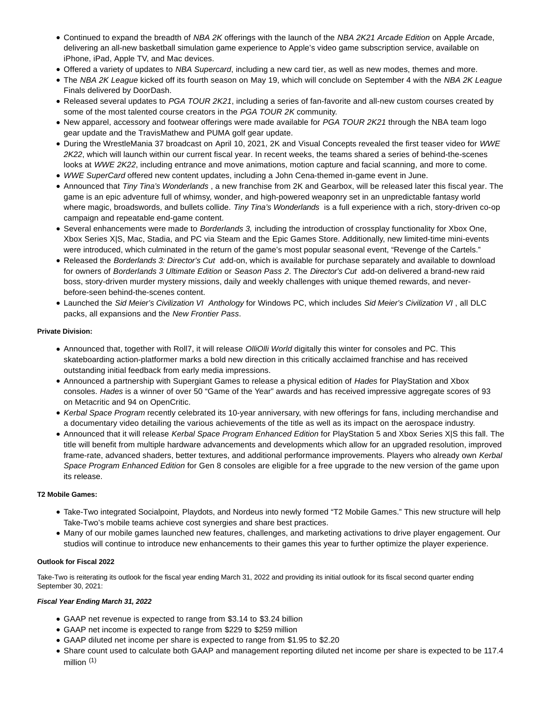- Continued to expand the breadth of NBA 2K offerings with the launch of the NBA 2K21 Arcade Edition on Apple Arcade, delivering an all-new basketball simulation game experience to Apple's video game subscription service, available on iPhone, iPad, Apple TV, and Mac devices.
- Offered a variety of updates to NBA Supercard, including a new card tier, as well as new modes, themes and more.
- The NBA 2K League kicked off its fourth season on May 19, which will conclude on September 4 with the NBA 2K League Finals delivered by DoorDash.
- Released several updates to PGA TOUR 2K21, including a series of fan-favorite and all-new custom courses created by some of the most talented course creators in the PGA TOUR 2K community.
- New apparel, accessory and footwear offerings were made available for PGA TOUR 2K21 through the NBA team logo gear update and the TravisMathew and PUMA golf gear update.
- During the WrestleMania 37 broadcast on April 10, 2021, 2K and Visual Concepts revealed the first teaser video for WWE 2K22, which will launch within our current fiscal year. In recent weeks, the teams shared a series of behind-the-scenes looks at WWE 2K22, including entrance and move animations, motion capture and facial scanning, and more to come.
- WWE SuperCard offered new content updates, including a John Cena-themed in-game event in June.
- Announced that Tiny Tina's Wonderlands, a new franchise from 2K and Gearbox, will be released later this fiscal year. The game is an epic adventure full of whimsy, wonder, and high-powered weaponry set in an unpredictable fantasy world where magic, broadswords, and bullets collide. Tiny Tina's Wonderlands is a full experience with a rich, story-driven co-op campaign and repeatable end-game content.
- Several enhancements were made to Borderlands 3, including the introduction of crossplay functionality for Xbox One, Xbox Series X|S, Mac, Stadia, and PC via Steam and the Epic Games Store. Additionally, new limited-time mini-events were introduced, which culminated in the return of the game's most popular seasonal event, "Revenge of the Cartels."
- Released the Borderlands 3: Director's Cut add-on, which is available for purchase separately and available to download for owners of Borderlands 3 Ultimate Edition or Season Pass 2. The Director's Cut add-on delivered a brand-new raid boss, story-driven murder mystery missions, daily and weekly challenges with unique themed rewards, and neverbefore-seen behind-the-scenes content.
- Launched the Sid Meier's Civilization VI Anthology for Windows PC, which includes Sid Meier's Civilization VI , all DLC packs, all expansions and the New Frontier Pass.

# **Private Division:**

- Announced that, together with Roll7, it will release OlliOlli World digitally this winter for consoles and PC. This skateboarding action-platformer marks a bold new direction in this critically acclaimed franchise and has received outstanding initial feedback from early media impressions.
- Announced a partnership with Supergiant Games to release a physical edition of Hades for PlayStation and Xbox consoles. Hades is a winner of over 50 "Game of the Year" awards and has received impressive aggregate scores of 93 on Metacritic and 94 on OpenCritic.
- Kerbal Space Program recently celebrated its 10-year anniversary, with new offerings for fans, including merchandise and a documentary video detailing the various achievements of the title as well as its impact on the aerospace industry.
- Announced that it will release Kerbal Space Program Enhanced Edition for PlayStation 5 and Xbox Series X|S this fall. The title will benefit from multiple hardware advancements and developments which allow for an upgraded resolution, improved frame-rate, advanced shaders, better textures, and additional performance improvements. Players who already own Kerbal Space Program Enhanced Edition for Gen 8 consoles are eligible for a free upgrade to the new version of the game upon its release.

# **T2 Mobile Games:**

- Take-Two integrated Socialpoint, Playdots, and Nordeus into newly formed "T2 Mobile Games." This new structure will help Take-Two's mobile teams achieve cost synergies and share best practices.
- Many of our mobile games launched new features, challenges, and marketing activations to drive player engagement. Our studios will continue to introduce new enhancements to their games this year to further optimize the player experience.

# **Outlook for Fiscal 2022**

Take-Two is reiterating its outlook for the fiscal year ending March 31, 2022 and providing its initial outlook for its fiscal second quarter ending September 30, 2021:

# **Fiscal Year Ending March 31, 2022**

- GAAP net revenue is expected to range from \$3.14 to \$3.24 billion
- GAAP net income is expected to range from \$229 to \$259 million
- GAAP diluted net income per share is expected to range from \$1.95 to \$2.20
- Share count used to calculate both GAAP and management reporting diluted net income per share is expected to be 117.4 million  $(1)$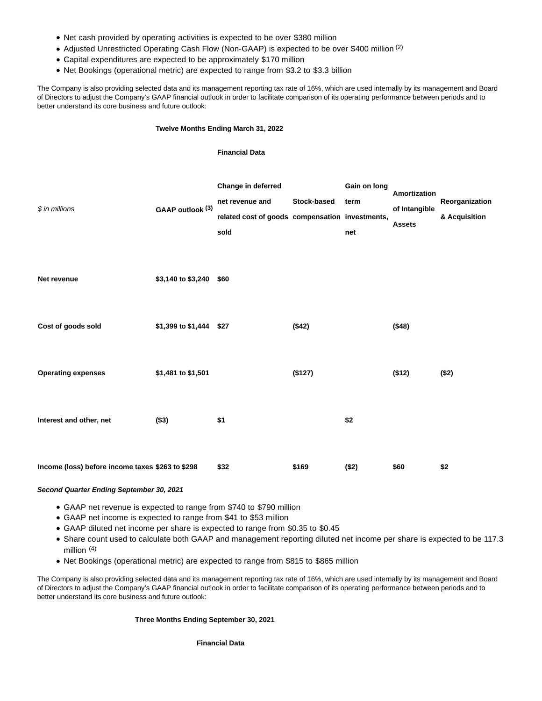- Net cash provided by operating activities is expected to be over \$380 million
- Adjusted Unrestricted Operating Cash Flow (Non-GAAP) is expected to be over \$400 million <sup>(2)</sup>
- Capital expenditures are expected to be approximately \$170 million
- Net Bookings (operational metric) are expected to range from \$3.2 to \$3.3 billion

The Company is also providing selected data and its management reporting tax rate of 16%, which are used internally by its management and Board of Directors to adjust the Company's GAAP financial outlook in order to facilitate comparison of its operating performance between periods and to better understand its core business and future outlook:

## **Twelve Months Ending March 31, 2022**

## **Financial Data**

| \$ in millions                                   | GAAP outlook (3)        | Change in deferred<br>net revenue and<br>related cost of goods compensation investments,<br>sold | Stock-based | Gain on long<br>term<br>net | Amortization<br>of Intangible<br><b>Assets</b> | Reorganization<br>& Acquisition |
|--------------------------------------------------|-------------------------|--------------------------------------------------------------------------------------------------|-------------|-----------------------------|------------------------------------------------|---------------------------------|
| Net revenue                                      | \$3,140 to \$3,240 \$60 |                                                                                                  |             |                             |                                                |                                 |
| Cost of goods sold                               | \$1,399 to \$1,444 \$27 |                                                                                                  | (\$42)      |                             | (\$48)                                         |                                 |
| <b>Operating expenses</b>                        | \$1,481 to \$1,501      |                                                                                                  | (\$127)     |                             | (\$12)                                         | (\$2)                           |
| Interest and other, net                          | (\$3)                   | \$1                                                                                              |             | \$2                         |                                                |                                 |
| Income (loss) before income taxes \$263 to \$298 |                         | \$32                                                                                             | \$169       | (\$2)                       | \$60                                           | \$2                             |

## **Second Quarter Ending September 30, 2021**

- GAAP net revenue is expected to range from \$740 to \$790 million
- GAAP net income is expected to range from \$41 to \$53 million
- GAAP diluted net income per share is expected to range from \$0.35 to \$0.45
- Share count used to calculate both GAAP and management reporting diluted net income per share is expected to be 117.3 million<sup>(4)</sup>
- Net Bookings (operational metric) are expected to range from \$815 to \$865 million

The Company is also providing selected data and its management reporting tax rate of 16%, which are used internally by its management and Board of Directors to adjust the Company's GAAP financial outlook in order to facilitate comparison of its operating performance between periods and to better understand its core business and future outlook:

# **Three Months Ending September 30, 2021**

**Financial Data**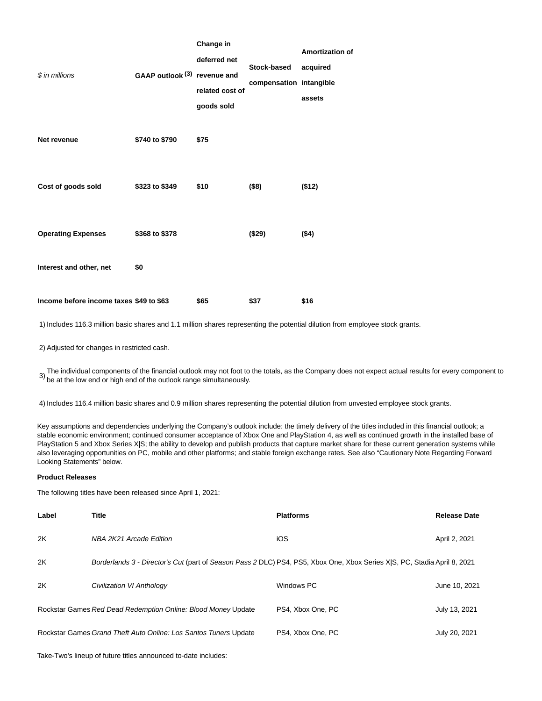|                                         |                              | Change in       |                         | Amortization |  |
|-----------------------------------------|------------------------------|-----------------|-------------------------|--------------|--|
|                                         |                              | deferred net    | Stock-based             | acquired     |  |
| \$ in millions                          | GAAP outlook (3) revenue and |                 |                         |              |  |
|                                         |                              | related cost of | compensation intangible |              |  |
|                                         |                              | goods sold      |                         | assets       |  |
| Net revenue                             | \$740 to \$790               | \$75            |                         |              |  |
| Cost of goods sold                      | \$323 to \$349               | \$10            | (\$8)                   | (\$12)       |  |
| <b>Operating Expenses</b>               | \$368 to \$378               |                 | (\$29)                  | $($ \$4)     |  |
| Interest and other, net                 | \$0                          |                 |                         |              |  |
| Income before income taxes \$49 to \$63 |                              | \$65            | \$37                    | \$16         |  |

1) Includes 116.3 million basic shares and 1.1 million shares representing the potential dilution from employee stock grants.

2) Adjusted for changes in restricted cash.

 $3)$  The individual components of the financial outlook may not foot to the totals, as the Company does not expect actual results for every component to  $\overline{\phantom{a}}$ 

**Amortization of**

4) Includes 116.4 million basic shares and 0.9 million shares representing the potential dilution from unvested employee stock grants.

Key assumptions and dependencies underlying the Company's outlook include: the timely delivery of the titles included in this financial outlook; a stable economic environment; continued consumer acceptance of Xbox One and PlayStation 4, as well as continued growth in the installed base of PlayStation 5 and Xbox Series X|S; the ability to develop and publish products that capture market share for these current generation systems while also leveraging opportunities on PC, mobile and other platforms; and stable foreign exchange rates. See also "Cautionary Note Regarding Forward Looking Statements" below.

# **Product Releases**

The following titles have been released since April 1, 2021:

| Label | <b>Title</b>                                                                                                             | <b>Platforms</b>  | <b>Release Date</b> |  |
|-------|--------------------------------------------------------------------------------------------------------------------------|-------------------|---------------------|--|
| 2K    | NBA 2K21 Arcade Edition                                                                                                  | iOS               | April 2, 2021       |  |
| 2K    | Borderlands 3 - Director's Cut (part of Season Pass 2 DLC) PS4, PS5, Xbox One, Xbox Series XIS, PC, Stadia April 8, 2021 |                   |                     |  |
| 2K    | Civilization VI Anthology                                                                                                | Windows PC        | June 10, 2021       |  |
|       | Rockstar Games Red Dead Redemption Online: Blood Money Update                                                            | PS4, Xbox One, PC | July 13, 2021       |  |
|       | Rockstar Games Grand Theft Auto Online: Los Santos Tuners Update                                                         | PS4, Xbox One, PC | July 20, 2021       |  |

Take-Two's lineup of future titles announced to-date includes: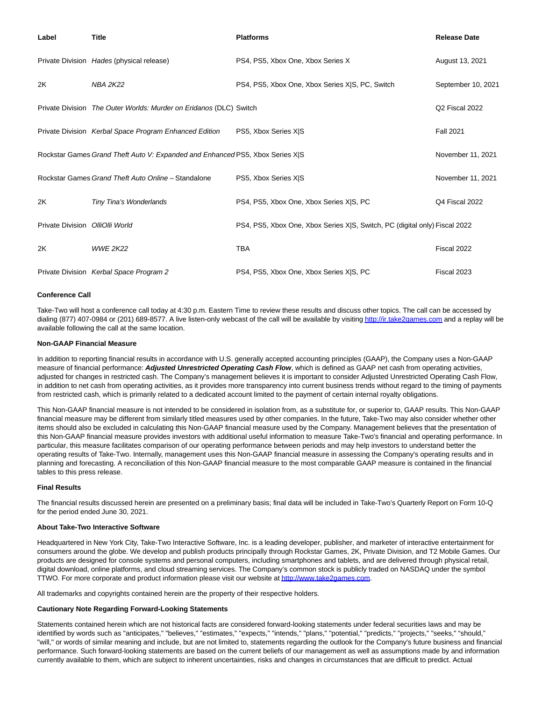| Label                           | <b>Title</b>                                                                  | <b>Platforms</b>                                                           | <b>Release Date</b> |
|---------------------------------|-------------------------------------------------------------------------------|----------------------------------------------------------------------------|---------------------|
|                                 | Private Division Hades (physical release)                                     | PS4, PS5, Xbox One, Xbox Series X                                          | August 13, 2021     |
| 2K                              | <b>NBA 2K22</b>                                                               | PS4, PS5, Xbox One, Xbox Series XIS, PC, Switch                            | September 10, 2021  |
|                                 | Private Division The Outer Worlds: Murder on Eridanos (DLC) Switch            |                                                                            | Q2 Fiscal 2022      |
|                                 | Private Division Kerbal Space Program Enhanced Edition                        | PS5, Xbox Series X S                                                       | <b>Fall 2021</b>    |
|                                 | Rockstar Games Grand Theft Auto V: Expanded and Enhanced PS5, Xbox Series X S |                                                                            | November 11, 2021   |
|                                 | Rockstar Games Grand Theft Auto Online - Standalone                           | PS5, Xbox Series X S                                                       | November 11, 2021   |
| 2K                              | Tiny Tina's Wonderlands                                                       | PS4, PS5, Xbox One, Xbox Series X S, PC                                    | Q4 Fiscal 2022      |
| Private Division OlliOlli World |                                                                               | PS4, PS5, Xbox One, Xbox Series X S, Switch, PC (digital only) Fiscal 2022 |                     |
| 2K                              | <b>WWE 2K22</b>                                                               | <b>TBA</b>                                                                 | Fiscal 2022         |
|                                 | Private Division Kerbal Space Program 2                                       | PS4, PS5, Xbox One, Xbox Series X S, PC                                    | Fiscal 2023         |

## **Conference Call**

Take-Two will host a conference call today at 4:30 p.m. Eastern Time to review these results and discuss other topics. The call can be accessed by dialing (877) 407-0984 or (201) 689-8577. A live listen-only webcast of the call will be available by visitin[g http://ir.take2games.com a](https://cts.businesswire.com/ct/CT?id=smartlink&url=http%3A%2F%2Fir.take2games.com&esheet=52469752&newsitemid=20210802005541&lan=en-US&anchor=http%3A%2F%2Fir.take2games.com&index=2&md5=a941e6ed6d1ed572e010e74a3b95caf8)nd a replay will be available following the call at the same location.

### **Non-GAAP Financial Measure**

In addition to reporting financial results in accordance with U.S. generally accepted accounting principles (GAAP), the Company uses a Non-GAAP measure of financial performance: **Adjusted Unrestricted Operating Cash Flow**, which is defined as GAAP net cash from operating activities, adjusted for changes in restricted cash. The Company's management believes it is important to consider Adjusted Unrestricted Operating Cash Flow. in addition to net cash from operating activities, as it provides more transparency into current business trends without regard to the timing of payments from restricted cash, which is primarily related to a dedicated account limited to the payment of certain internal royalty obligations.

This Non-GAAP financial measure is not intended to be considered in isolation from, as a substitute for, or superior to, GAAP results. This Non-GAAP financial measure may be different from similarly titled measures used by other companies. In the future, Take-Two may also consider whether other items should also be excluded in calculating this Non-GAAP financial measure used by the Company. Management believes that the presentation of this Non-GAAP financial measure provides investors with additional useful information to measure Take-Two's financial and operating performance. In particular, this measure facilitates comparison of our operating performance between periods and may help investors to understand better the operating results of Take-Two. Internally, management uses this Non-GAAP financial measure in assessing the Company's operating results and in planning and forecasting. A reconciliation of this Non-GAAP financial measure to the most comparable GAAP measure is contained in the financial tables to this press release.

### **Final Results**

The financial results discussed herein are presented on a preliminary basis; final data will be included in Take-Two's Quarterly Report on Form 10-Q for the period ended June 30, 2021.

### **About Take-Two Interactive Software**

Headquartered in New York City, Take-Two Interactive Software, Inc. is a leading developer, publisher, and marketer of interactive entertainment for consumers around the globe. We develop and publish products principally through Rockstar Games, 2K, Private Division, and T2 Mobile Games. Our products are designed for console systems and personal computers, including smartphones and tablets, and are delivered through physical retail, digital download, online platforms, and cloud streaming services. The Company's common stock is publicly traded on NASDAQ under the symbol TTWO. For more corporate and product information please visit our website a[t http://www.take2games.com.](https://cts.businesswire.com/ct/CT?id=smartlink&url=http%3A%2F%2Fwww.take2games.com&esheet=52469752&newsitemid=20210802005541&lan=en-US&anchor=http%3A%2F%2Fwww.take2games.com&index=3&md5=d824737f786d0869b88ec30d327097d6)

All trademarks and copyrights contained herein are the property of their respective holders.

## **Cautionary Note Regarding Forward-Looking Statements**

Statements contained herein which are not historical facts are considered forward-looking statements under federal securities laws and may be identified by words such as "anticipates," "believes," "estimates," "expects," "intends," "plans," "potential," "predicts," "projects," "seeks," "should," "will," or words of similar meaning and include, but are not limited to, statements regarding the outlook for the Company's future business and financial performance. Such forward-looking statements are based on the current beliefs of our management as well as assumptions made by and information currently available to them, which are subject to inherent uncertainties, risks and changes in circumstances that are difficult to predict. Actual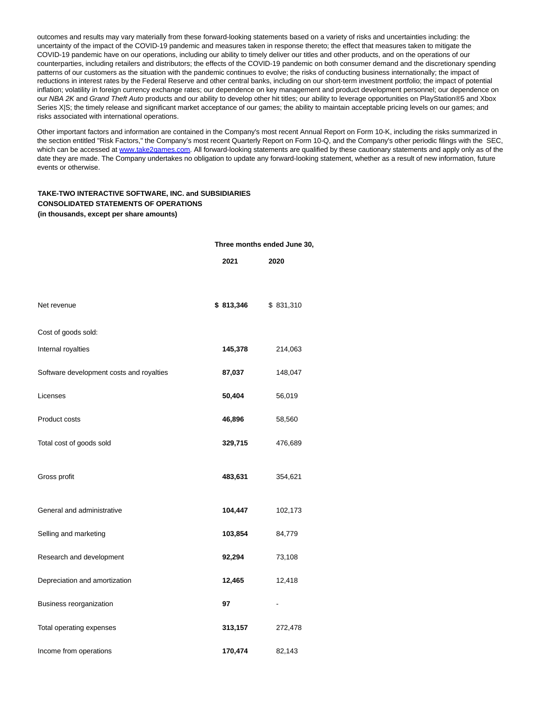outcomes and results may vary materially from these forward-looking statements based on a variety of risks and uncertainties including: the uncertainty of the impact of the COVID-19 pandemic and measures taken in response thereto; the effect that measures taken to mitigate the COVID-19 pandemic have on our operations, including our ability to timely deliver our titles and other products, and on the operations of our counterparties, including retailers and distributors; the effects of the COVID-19 pandemic on both consumer demand and the discretionary spending patterns of our customers as the situation with the pandemic continues to evolve; the risks of conducting business internationally; the impact of reductions in interest rates by the Federal Reserve and other central banks, including on our short-term investment portfolio; the impact of potential inflation; volatility in foreign currency exchange rates; our dependence on key management and product development personnel; our dependence on our NBA 2K and Grand Theft Auto products and our ability to develop other hit titles; our ability to leverage opportunities on PlayStation®5 and Xbox Series X|S; the timely release and significant market acceptance of our games; the ability to maintain acceptable pricing levels on our games; and risks associated with international operations.

Other important factors and information are contained in the Company's most recent Annual Report on Form 10-K, including the risks summarized in the section entitled "Risk Factors," the Company's most recent Quarterly Report on Form 10-Q, and the Company's other periodic filings with the SEC, which can be accessed at [www.take2games.com.](https://cts.businesswire.com/ct/CT?id=smartlink&url=http%3A%2F%2Fwww.take2games.com&esheet=52469752&newsitemid=20210802005541&lan=en-US&anchor=www.take2games.com&index=4&md5=95c6c96752abfe3f17148e273f6ebd15) All forward-looking statements are qualified by these cautionary statements and apply only as of the date they are made. The Company undertakes no obligation to update any forward-looking statement, whether as a result of new information, future events or otherwise.

# **TAKE-TWO INTERACTIVE SOFTWARE, INC. and SUBSIDIARIES CONSOLIDATED STATEMENTS OF OPERATIONS (in thousands, except per share amounts)**

#### **Three months ended June 30,**

|                                          | 2021      | 2020      |
|------------------------------------------|-----------|-----------|
| Net revenue                              | \$813,346 | \$831,310 |
| Cost of goods sold:                      |           |           |
| Internal royalties                       | 145,378   | 214,063   |
| Software development costs and royalties | 87,037    | 148,047   |
| Licenses                                 | 50,404    | 56,019    |
| Product costs                            | 46,896    | 58,560    |
| Total cost of goods sold                 | 329,715   | 476,689   |
| Gross profit                             | 483,631   | 354,621   |
| General and administrative               | 104,447   | 102,173   |
| Selling and marketing                    | 103,854   | 84,779    |
| Research and development                 | 92,294    | 73,108    |
| Depreciation and amortization            | 12,465    | 12,418    |
| Business reorganization                  | 97        |           |
| Total operating expenses                 | 313,157   | 272,478   |
| Income from operations                   | 170,474   | 82,143    |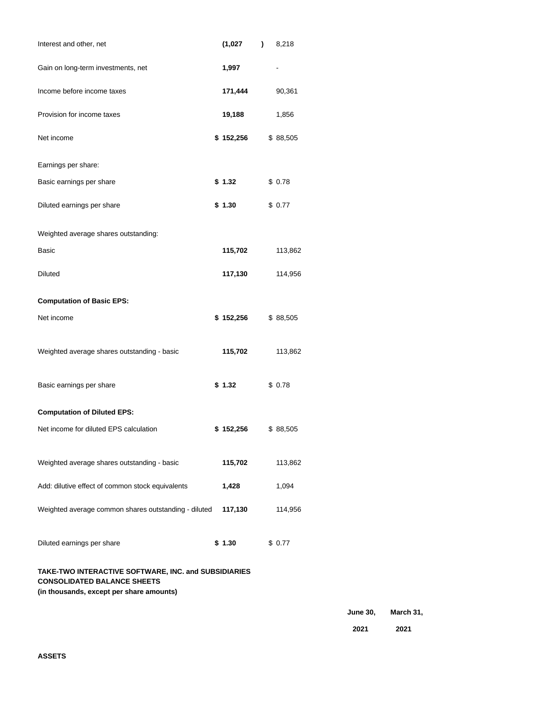| Interest and other, net                                                                    |  | (1,027)              |  | 8,218     |  |  |
|--------------------------------------------------------------------------------------------|--|----------------------|--|-----------|--|--|
| Gain on long-term investments, net                                                         |  | 1,997                |  |           |  |  |
| Income before income taxes                                                                 |  | 171,444              |  | 90,361    |  |  |
| Provision for income taxes                                                                 |  | 19,188               |  | 1,856     |  |  |
| Net income                                                                                 |  | \$152,256            |  | \$ 88,505 |  |  |
| Earnings per share:                                                                        |  |                      |  |           |  |  |
| Basic earnings per share                                                                   |  | \$1.32               |  | \$0.78    |  |  |
| Diluted earnings per share                                                                 |  | \$1.30               |  | \$0.77    |  |  |
| Weighted average shares outstanding:                                                       |  |                      |  |           |  |  |
| Basic                                                                                      |  | 115,702              |  | 113,862   |  |  |
| <b>Diluted</b>                                                                             |  | 117,130              |  | 114,956   |  |  |
| <b>Computation of Basic EPS:</b>                                                           |  |                      |  |           |  |  |
| Net income                                                                                 |  | $$152,256$ $$88,505$ |  |           |  |  |
| Weighted average shares outstanding - basic                                                |  | 115,702              |  | 113,862   |  |  |
| Basic earnings per share                                                                   |  | \$1.32               |  | \$0.78    |  |  |
| <b>Computation of Diluted EPS:</b>                                                         |  |                      |  |           |  |  |
| Net income for diluted EPS calculation                                                     |  | \$152,256            |  | \$88,505  |  |  |
| Weighted average shares outstanding - basic                                                |  | 115,702              |  | 113,862   |  |  |
| Add: dilutive effect of common stock equivalents                                           |  | 1,428                |  | 1,094     |  |  |
| Weighted average common shares outstanding - diluted                                       |  | 117,130              |  | 114,956   |  |  |
| Diluted earnings per share                                                                 |  | \$1.30               |  | \$0.77    |  |  |
| TAKE-TWO INTERACTIVE SOFTWARE, INC. and SUBSIDIARIES<br><b>CONSOLIDATED BALANCE SHEETS</b> |  |                      |  |           |  |  |

**(in thousands, except per share amounts)**

**June 30, March 31,**

**2021 2021**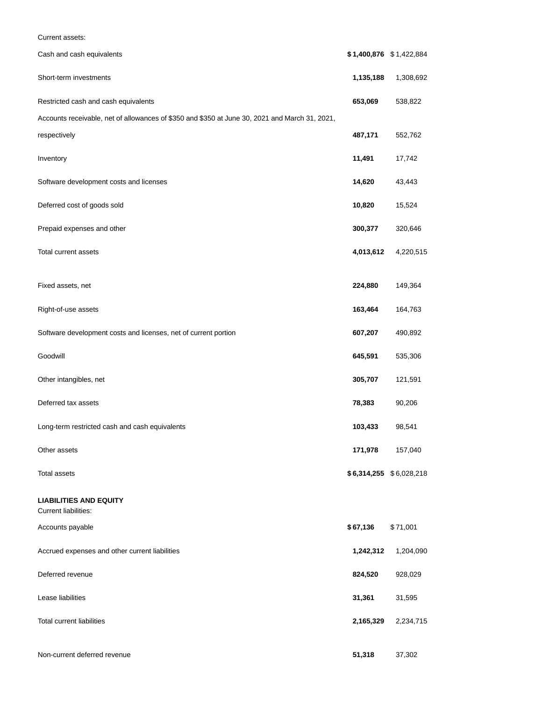| Current assets:                                                                                |                         |           |
|------------------------------------------------------------------------------------------------|-------------------------|-----------|
| Cash and cash equivalents                                                                      | \$1,400,876 \$1,422,884 |           |
| Short-term investments                                                                         | 1,135,188               | 1,308,692 |
| Restricted cash and cash equivalents                                                           | 653,069                 | 538,822   |
| Accounts receivable, net of allowances of \$350 and \$350 at June 30, 2021 and March 31, 2021, |                         |           |
| respectively                                                                                   | 487,171                 | 552,762   |
| Inventory                                                                                      | 11,491                  | 17,742    |
| Software development costs and licenses                                                        | 14,620                  | 43,443    |
| Deferred cost of goods sold                                                                    | 10,820                  | 15,524    |
| Prepaid expenses and other                                                                     | 300,377                 | 320,646   |
| Total current assets                                                                           | 4,013,612               | 4,220,515 |
| Fixed assets, net                                                                              | 224,880                 | 149,364   |
| Right-of-use assets                                                                            | 163,464                 | 164,763   |
| Software development costs and licenses, net of current portion                                | 607,207                 | 490,892   |
| Goodwill                                                                                       | 645,591                 | 535,306   |
| Other intangibles, net                                                                         | 305,707                 | 121,591   |
| Deferred tax assets                                                                            | 78,383                  | 90,206    |
| Long-term restricted cash and cash equivalents                                                 | 103,433                 | 98,541    |
| Other assets                                                                                   | 171,978                 | 157,040   |
| Total assets                                                                                   | \$6,314,255 \$6,028,218 |           |
| <b>LIABILITIES AND EQUITY</b><br><b>Current liabilities:</b>                                   |                         |           |
| Accounts payable                                                                               | \$67,136                | \$71,001  |
| Accrued expenses and other current liabilities                                                 | 1,242,312               | 1,204,090 |
| Deferred revenue                                                                               | 824,520                 | 928,029   |
| Lease liabilities                                                                              | 31,361                  | 31,595    |
| <b>Total current liabilities</b>                                                               | 2,165,329               | 2,234,715 |
| Non-current deferred revenue                                                                   | 51,318                  | 37,302    |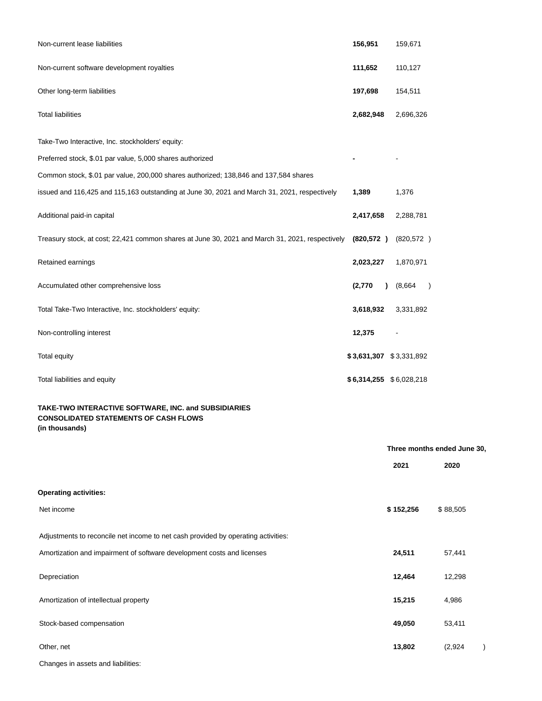| Non-current lease liabilities                                                                                          | 156,951    | 159,671                     |
|------------------------------------------------------------------------------------------------------------------------|------------|-----------------------------|
| Non-current software development royalties                                                                             | 111,652    | 110,127                     |
| Other long-term liabilities                                                                                            | 197,698    | 154,511                     |
| <b>Total liabilities</b>                                                                                               | 2,682,948  | 2,696,326                   |
| Take-Two Interactive, Inc. stockholders' equity:                                                                       |            |                             |
| Preferred stock, \$.01 par value, 5,000 shares authorized                                                              |            |                             |
| Common stock, \$.01 par value, 200,000 shares authorized; 138,846 and 137,584 shares                                   |            |                             |
| issued and 116,425 and 115,163 outstanding at June 30, 2021 and March 31, 2021, respectively                           | 1,389      | 1,376                       |
| Additional paid-in capital                                                                                             | 2,417,658  | 2,288,781                   |
| Treasury stock, at cost; 22,421 common shares at June 30, 2021 and March 31, 2021, respectively                        | (820, 572) | (820, 572)                  |
| Retained earnings                                                                                                      | 2,023,227  | 1,870,971                   |
| Accumulated other comprehensive loss                                                                                   | (2,770)    | (8,664)<br>$\lambda$<br>1   |
| Total Take-Two Interactive, Inc. stockholders' equity:                                                                 | 3,618,932  | 3,331,892                   |
| Non-controlling interest                                                                                               | 12,375     |                             |
| Total equity                                                                                                           |            | \$3,631,307 \$3,331,892     |
| Total liabilities and equity                                                                                           |            | $$6,314,255$ $$6,028,218$   |
| TAKE-TWO INTERACTIVE SOFTWARE, INC. and SUBSIDIARIES<br><b>CONSOLIDATED STATEMENTS OF CASH FLOWS</b><br>(in thousands) |            |                             |
|                                                                                                                        |            | Three months ended June 30, |
|                                                                                                                        |            |                             |

|                                                                                   | 2021      | 2020     |  |
|-----------------------------------------------------------------------------------|-----------|----------|--|
| <b>Operating activities:</b>                                                      |           |          |  |
| Net income                                                                        | \$152,256 | \$88,505 |  |
| Adjustments to reconcile net income to net cash provided by operating activities: |           |          |  |
| Amortization and impairment of software development costs and licenses            | 24,511    | 57,441   |  |
| Depreciation                                                                      | 12,464    | 12,298   |  |
| Amortization of intellectual property                                             | 15,215    | 4,986    |  |
| Stock-based compensation                                                          | 49,050    | 53,411   |  |
| Other, net                                                                        | 13,802    | (2,924)  |  |

Changes in assets and liabilities: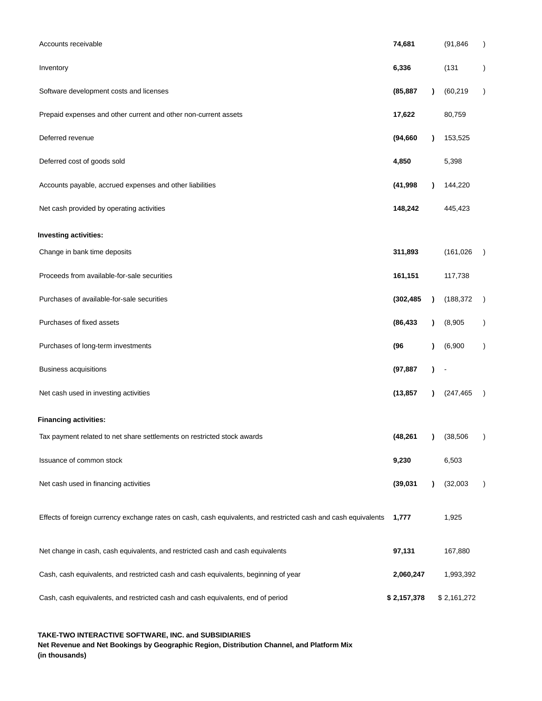| Accounts receivable                                                                                            | 74,681      |           | (91, 846)   | $\lambda$     |
|----------------------------------------------------------------------------------------------------------------|-------------|-----------|-------------|---------------|
| Inventory                                                                                                      | 6,336       |           | (131)       |               |
| Software development costs and licenses                                                                        | (85, 887)   |           | (60, 219)   | $\lambda$     |
| Prepaid expenses and other current and other non-current assets                                                | 17,622      |           | 80,759      |               |
| Deferred revenue                                                                                               | (94, 660)   |           | 153,525     |               |
| Deferred cost of goods sold                                                                                    | 4,850       |           | 5,398       |               |
| Accounts payable, accrued expenses and other liabilities                                                       | (41, 998)   |           | 144,220     |               |
| Net cash provided by operating activities                                                                      | 148,242     |           | 445,423     |               |
| Investing activities:                                                                                          |             |           |             |               |
| Change in bank time deposits                                                                                   | 311,893     |           | (161, 026)  |               |
| Proceeds from available-for-sale securities                                                                    | 161,151     |           | 117,738     |               |
| Purchases of available-for-sale securities                                                                     | (302, 485)  |           | (188, 372)  |               |
| Purchases of fixed assets                                                                                      | (86, 433)   |           | (8,905)     | $\lambda$     |
| Purchases of long-term investments                                                                             | (96)        |           | (6,900)     | $\mathcal{E}$ |
| <b>Business acquisitions</b>                                                                                   | (97, 887)   |           |             |               |
| Net cash used in investing activities                                                                          | (13, 857)   |           | (247, 465)  |               |
| <b>Financing activities:</b>                                                                                   |             |           |             |               |
| Tax payment related to net share settlements on restricted stock awards                                        | (48, 261)   | $\lambda$ | (38, 506)   |               |
| Issuance of common stock                                                                                       | 9,230       |           | 6,503       |               |
| Net cash used in financing activities                                                                          | (39, 031)   |           | (32,003)    | $\lambda$     |
| Effects of foreign currency exchange rates on cash, cash equivalents, and restricted cash and cash equivalents | 1,777       |           | 1,925       |               |
| Net change in cash, cash equivalents, and restricted cash and cash equivalents                                 | 97,131      |           | 167,880     |               |
| Cash, cash equivalents, and restricted cash and cash equivalents, beginning of year                            | 2,060,247   |           | 1,993,392   |               |
| Cash, cash equivalents, and restricted cash and cash equivalents, end of period                                | \$2,157,378 |           | \$2,161,272 |               |

**TAKE-TWO INTERACTIVE SOFTWARE, INC. and SUBSIDIARIES**

**Net Revenue and Net Bookings by Geographic Region, Distribution Channel, and Platform Mix (in thousands)**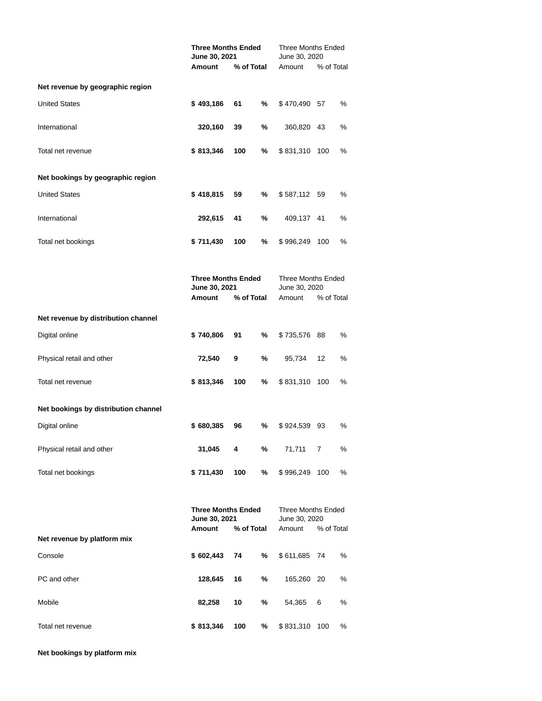|                                      | <b>Three Months Ended</b><br>June 30, 2021           |            |   | <b>Three Months Ended</b><br>June 30, 2020    |            |   |
|--------------------------------------|------------------------------------------------------|------------|---|-----------------------------------------------|------------|---|
|                                      | Amount<br>% of Total                                 |            |   | Amount<br>% of Total                          |            |   |
| Net revenue by geographic region     |                                                      |            |   |                                               |            |   |
| <b>United States</b>                 | \$493,186                                            | 61         | % | \$470,490                                     | 57         | % |
| International                        | 320,160                                              | 39         | % | 360,820                                       | 43         | % |
| Total net revenue                    | \$813,346                                            | 100        | % | \$831,310                                     | 100        | % |
| Net bookings by geographic region    |                                                      |            |   |                                               |            |   |
| <b>United States</b>                 | \$418,815                                            | 59         | % | \$587,112                                     | 59         | % |
| International                        | 292,615                                              | 41         | % | 409,137                                       | 41         | % |
| Total net bookings                   | \$711,430                                            | 100        | % | \$996,249                                     | 100        | % |
|                                      | <b>Three Months Ended</b><br>June 30, 2021           |            |   | Three Months Ended<br>June 30, 2020           |            |   |
|                                      | <b>Amount</b>                                        | % of Total |   | Amount                                        | % of Total |   |
| Net revenue by distribution channel  |                                                      |            |   |                                               |            |   |
| Digital online                       | \$740,806                                            | 91         | % | \$735,576                                     | 88         | % |
| Physical retail and other            | 72,540                                               | 9          | % | 95,734                                        | 12         | % |
| Total net revenue                    | \$813,346                                            | 100        | % | \$831,310                                     | 100        | % |
| Net bookings by distribution channel |                                                      |            |   |                                               |            |   |
| Digital online                       | \$680,385                                            | 96         | % | \$924,539                                     | 93         | % |
| Physical retail and other            | 31,045                                               | 4          | % | 71,711                                        | 7          | % |
| Total net bookings                   | \$711,430                                            | 100        | % | \$996,249                                     | 100        | % |
| Net revenue by platform mix          | <b>Three Months Ended</b><br>June 30, 2021<br>Amount | % of Total |   | Three Months Ended<br>June 30, 2020<br>Amount | % of Total |   |
| Console                              | \$602,443                                            | 74         | % | \$611,685                                     | 74         | % |
| PC and other                         | 128,645                                              | 16         | % | 165,260                                       | 20         | ℅ |
| Mobile                               | 82,258                                               | 10         | % | 54,365                                        | 6          | % |
| Total net revenue                    | \$813,346                                            | 100        | % | \$831,310                                     | 100        | % |

**Net bookings by platform mix**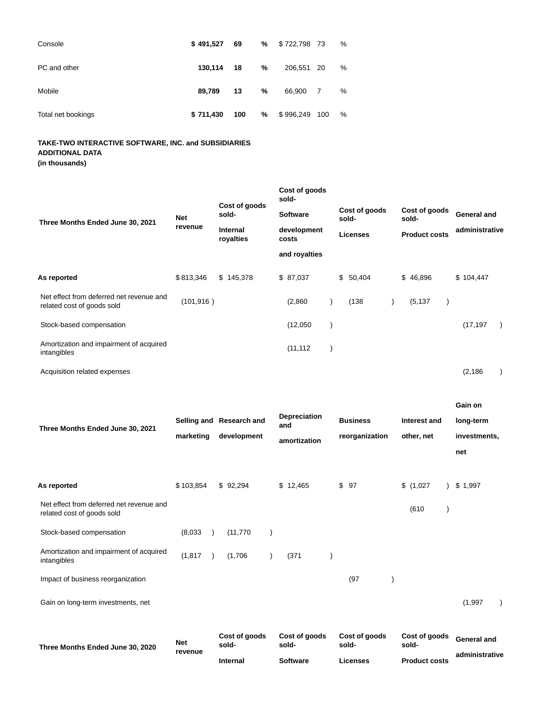| Console            | \$491.527 | 69  | % | \$722,798 73 |                | % |
|--------------------|-----------|-----|---|--------------|----------------|---|
| PC and other       | 130.114   | 18  | % | 206,551 20   |                | % |
| Mobile             | 89.789    | 13  | % | 66,900       | $\overline{7}$ | % |
| Total net bookings | \$711,430 | 100 | % | \$996,249    | 100            | % |

# **TAKE-TWO INTERACTIVE SOFTWARE, INC. and SUBSIDIARIES ADDITIONAL DATA**

**(in thousands)**

|                                                                        |                                  |                        |                      | Cost of goods<br>sold- |  |                                           |  |                                                |  |                               |  |
|------------------------------------------------------------------------|----------------------------------|------------------------|----------------------|------------------------|--|-------------------------------------------|--|------------------------------------------------|--|-------------------------------|--|
| Three Months Ended June 30, 2021                                       | <b>Net</b>                       | Cost of goods<br>sold- |                      | <b>Software</b>        |  | Cost of goods<br>sold-<br><b>Licenses</b> |  | Cost of goods<br>sold-<br><b>Product costs</b> |  | General and<br>administrative |  |
|                                                                        | revenue<br>Internal<br>royalties |                        | development<br>costs |                        |  |                                           |  |                                                |  |                               |  |
|                                                                        |                                  |                        |                      | and royalties          |  |                                           |  |                                                |  |                               |  |
| As reported                                                            | \$813,346                        | \$145,378              |                      | \$87,037               |  | \$50,404                                  |  | \$46,896                                       |  | \$104,447                     |  |
| Net effect from deferred net revenue and<br>related cost of goods sold | (101, 916)                       |                        |                      | (2,860)                |  | (138)                                     |  | (5, 137)                                       |  |                               |  |
| Stock-based compensation                                               |                                  |                        |                      | (12,050)               |  |                                           |  |                                                |  | (17, 197)                     |  |
| Amortization and impairment of acquired<br>intangibles                 |                                  |                        |                      | (11, 112)              |  |                                           |  |                                                |  |                               |  |
| Acquisition related expenses                                           |                                  |                        |                      |                        |  |                                           |  |                                                |  | (2, 186)                      |  |

|                                                                        |                       |                          |                            |                        |                        | Gain on        |
|------------------------------------------------------------------------|-----------------------|--------------------------|----------------------------|------------------------|------------------------|----------------|
| Three Months Ended June 30, 2021                                       |                       | Selling and Research and | <b>Depreciation</b><br>and | <b>Business</b>        | Interest and           | long-term      |
|                                                                        | marketing             | development              | amortization               | reorganization         | other, net             | investments,   |
|                                                                        |                       |                          |                            |                        |                        | net            |
|                                                                        |                       |                          |                            |                        |                        |                |
| As reported                                                            | \$103,854             | \$92,294                 | \$12,465                   | \$97                   | \$(1,027)              | \$1,997        |
| Net effect from deferred net revenue and<br>related cost of goods sold |                       |                          |                            |                        | (610)                  |                |
| Stock-based compensation                                               | (8,033)               | (11, 770)                |                            |                        |                        |                |
| Amortization and impairment of acquired<br>intangibles                 | (1, 817)              | (1,706)                  | (371)                      |                        |                        |                |
| Impact of business reorganization                                      |                       |                          |                            | (97)                   |                        |                |
| Gain on long-term investments, net                                     |                       |                          |                            |                        |                        | (1,997)        |
| Three Months Ended June 30, 2020                                       | <b>Net</b><br>revenue | Cost of goods<br>sold-   | Cost of goods<br>sold-     | Cost of goods<br>sold- | Cost of goods<br>sold- | General and    |
|                                                                        |                       | <b>Internal</b>          | <b>Software</b>            | Licenses               | <b>Product costs</b>   | administrative |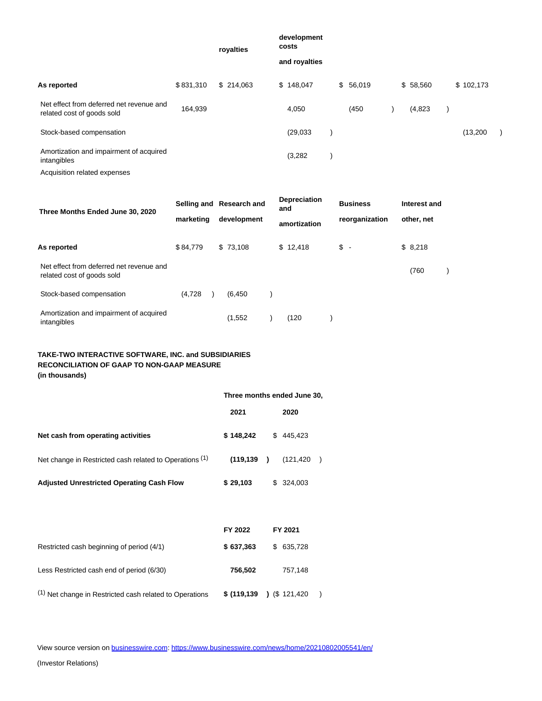|                                                                        |           | royalties | development<br>costs |          |          |           |  |
|------------------------------------------------------------------------|-----------|-----------|----------------------|----------|----------|-----------|--|
|                                                                        |           |           | and royalties        |          |          |           |  |
| As reported                                                            | \$831,310 | \$214,063 | \$148,047            | \$56,019 | \$58,560 | \$102,173 |  |
| Net effect from deferred net revenue and<br>related cost of goods sold | 164,939   |           | 4,050                | (450     | (4,823)  |           |  |
| Stock-based compensation                                               |           |           | (29,033)             |          |          | (13,200)  |  |
| Amortization and impairment of acquired<br>intangibles                 |           |           | (3,282)              |          |          |           |  |
| Acquisition related expenses                                           |           |           |                      |          |          |           |  |

| Three Months Ended June 30, 2020                                       | Selling and Research and |             | <b>Depreciation</b><br>and | <b>Business</b> | Interest and |  |
|------------------------------------------------------------------------|--------------------------|-------------|----------------------------|-----------------|--------------|--|
|                                                                        | marketing                | development | amortization               | reorganization  | other, net   |  |
| As reported                                                            | \$84.779                 | \$73.108    | \$12.418                   | $s -$           | \$8,218      |  |
| Net effect from deferred net revenue and<br>related cost of goods sold |                          |             |                            |                 | (760)        |  |
| Stock-based compensation                                               | (4,728)                  | (6, 450)    |                            |                 |              |  |
| Amortization and impairment of acquired<br>intangibles                 |                          | (1,552)     | (120)                      |                 |              |  |

# **TAKE-TWO INTERACTIVE SOFTWARE, INC. and SUBSIDIARIES RECONCILIATION OF GAAP TO NON-GAAP MEASURE (in thousands)**

|                                                                    | Three months ended June 30, |                             |  |  |  |
|--------------------------------------------------------------------|-----------------------------|-----------------------------|--|--|--|
|                                                                    | 2021                        | 2020                        |  |  |  |
| Net cash from operating activities                                 | \$148,242                   | 445,423<br>\$               |  |  |  |
| Net change in Restricted cash related to Operations (1)            | (119, 139)                  | (121, 420)<br>$\lambda$     |  |  |  |
| <b>Adjusted Unrestricted Operating Cash Flow</b>                   | \$29,103                    | 324,003<br>\$               |  |  |  |
|                                                                    |                             |                             |  |  |  |
|                                                                    | FY 2022                     | FY 2021                     |  |  |  |
| Restricted cash beginning of period (4/1)                          | \$637,363                   | 635,728<br>\$               |  |  |  |
| Less Restricted cash end of period (6/30)                          | 756,502                     | 757,148                     |  |  |  |
| <sup>(1)</sup> Net change in Restricted cash related to Operations | \$(119, 139)                | $\binom{1}{3}$ (\$ 121,420) |  |  |  |

View source version on [businesswire.com:](http://businesswire.com/)<https://www.businesswire.com/news/home/20210802005541/en/>